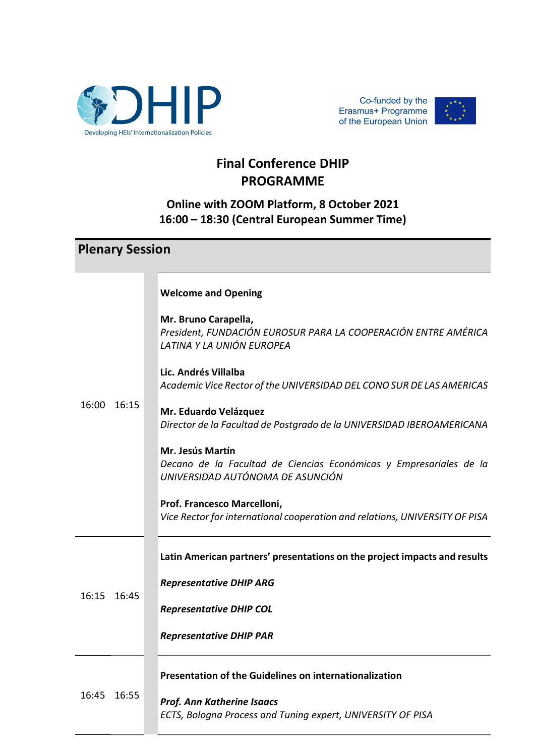



## Final Conference DHIP PROGRAMME

## Online with ZOOM Platform, 8 October 2021 16:00 – 18:30 (Central European Summer Time)

|             | <b>Plenary Session</b> |                                                                                                                            |
|-------------|------------------------|----------------------------------------------------------------------------------------------------------------------------|
|             |                        | <b>Welcome and Opening</b>                                                                                                 |
|             |                        | Mr. Bruno Carapella,<br>President, FUNDACIÓN EUROSUR PARA LA COOPERACIÓN ENTRE AMÉRICA<br>LATINA Y LA UNIÓN EUROPEA        |
|             | 16:15                  | Lic. Andrés Villalba<br>Academic Vice Rector of the UNIVERSIDAD DEL CONO SUR DE LAS AMERICAS                               |
| 16:00       |                        | Mr. Eduardo Velázquez<br>Director de la Facultad de Postgrado de la UNIVERSIDAD IBEROAMERICANA                             |
|             |                        | Mr. Jesús Martín<br>Decano de la Facultad de Ciencias Económicas y Empresariales de la<br>UNIVERSIDAD AUTÓNOMA DE ASUNCIÓN |
|             |                        | Prof. Francesco Marcelloni,<br>Vice Rector for international cooperation and relations, UNIVERSITY OF PISA                 |
| 16:15 16:45 |                        | Latin American partners' presentations on the project impacts and results                                                  |
|             |                        | <b>Representative DHIP ARG</b>                                                                                             |
|             |                        | <b>Representative DHIP COL</b>                                                                                             |
|             |                        | <b>Representative DHIP PAR</b>                                                                                             |
| 16:45       | 16:55                  | <b>Presentation of the Guidelines on internationalization</b>                                                              |
|             |                        | <b>Prof. Ann Katherine Isaacs</b><br>ECTS, Bologna Process and Tuning expert, UNIVERSITY OF PISA                           |